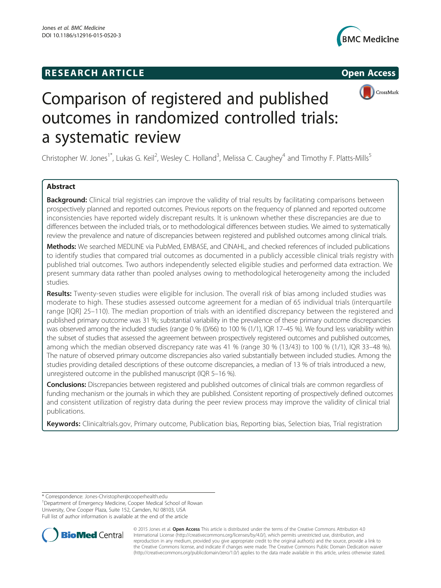## **RESEARCH ARTICLE Example 2014 12:30 The SEAR CHA RESEARCH ARTICLE**





# Comparison of registered and published outcomes in randomized controlled trials: a systematic review

Christopher W. Jones<sup>1\*</sup>, Lukas G. Keil<sup>2</sup>, Wesley C. Holland<sup>3</sup>, Melissa C. Caughey<sup>4</sup> and Timothy F. Platts-Mills<sup>5</sup>

## Abstract

Background: Clinical trial registries can improve the validity of trial results by facilitating comparisons between prospectively planned and reported outcomes. Previous reports on the frequency of planned and reported outcome inconsistencies have reported widely discrepant results. It is unknown whether these discrepancies are due to differences between the included trials, or to methodological differences between studies. We aimed to systematically review the prevalence and nature of discrepancies between registered and published outcomes among clinical trials.

Methods: We searched MEDLINE via PubMed, EMBASE, and CINAHL, and checked references of included publications to identify studies that compared trial outcomes as documented in a publicly accessible clinical trials registry with published trial outcomes. Two authors independently selected eligible studies and performed data extraction. We present summary data rather than pooled analyses owing to methodological heterogeneity among the included studies.

Results: Twenty-seven studies were eligible for inclusion. The overall risk of bias among included studies was moderate to high. These studies assessed outcome agreement for a median of 65 individual trials (interquartile range [IQR] 25–110). The median proportion of trials with an identified discrepancy between the registered and published primary outcome was 31 %; substantial variability in the prevalence of these primary outcome discrepancies was observed among the included studies (range 0 % (0/66) to 100 % (1/1), IQR 17–45 %). We found less variability within the subset of studies that assessed the agreement between prospectively registered outcomes and published outcomes, among which the median observed discrepancy rate was 41 % (range 30 % (13/43) to 100 % (1/1), IQR 33–48 %). The nature of observed primary outcome discrepancies also varied substantially between included studies. Among the studies providing detailed descriptions of these outcome discrepancies, a median of 13 % of trials introduced a new, unregistered outcome in the published manuscript (IQR 5–16 %).

Conclusions: Discrepancies between registered and published outcomes of clinical trials are common regardless of funding mechanism or the journals in which they are published. Consistent reporting of prospectively defined outcomes and consistent utilization of registry data during the peer review process may improve the validity of clinical trial publications.

Keywords: Clinicaltrials.gov, Primary outcome, Publication bias, Reporting bias, Selection bias, Trial registration

<sup>1</sup>Department of Emergency Medicine, Cooper Medical School of Rowan University, One Cooper Plaza, Suite 152, Camden, NJ 08103, USA Full list of author information is available at the end of the article



© 2015 Jones et al. Open Access This article is distributed under the terms of the Creative Commons Attribution 4.0 International License [\(http://creativecommons.org/licenses/by/4.0/](http://creativecommons.org/licenses/by/4.0/)), which permits unrestricted use, distribution, and reproduction in any medium, provided you give appropriate credit to the original author(s) and the source, provide a link to the Creative Commons license, and indicate if changes were made. The Creative Commons Public Domain Dedication waiver [\(http://creativecommons.org/publicdomain/zero/1.0/](http://creativecommons.org/publicdomain/zero/1.0/)) applies to the data made available in this article, unless otherwise stated.

<sup>\*</sup> Correspondence: [Jones-Christopher@cooperhealth.edu](mailto:Jones-Christopher@cooperhealth.edu) <sup>1</sup>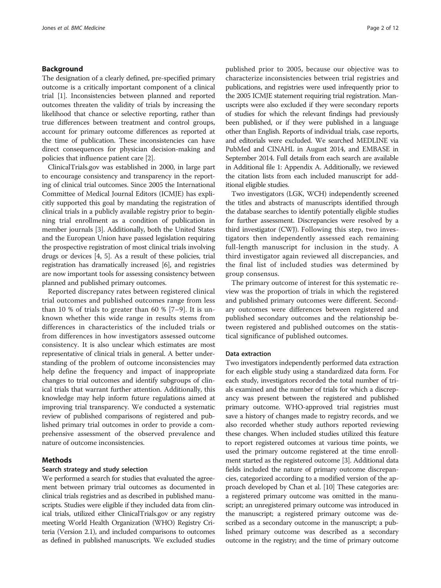#### Background

The designation of a clearly defined, pre-specified primary outcome is a critically important component of a clinical trial [[1\]](#page-10-0). Inconsistencies between planned and reported outcomes threaten the validity of trials by increasing the likelihood that chance or selective reporting, rather than true differences between treatment and control groups, account for primary outcome differences as reported at the time of publication. These inconsistencies can have direct consequences for physician decision-making and policies that influence patient care [\[2](#page-11-0)].

ClinicalTrials.gov was established in 2000, in large part to encourage consistency and transparency in the reporting of clinical trial outcomes. Since 2005 the International Committee of Medical Journal Editors (ICMJE) has explicitly supported this goal by mandating the registration of clinical trials in a publicly available registry prior to beginning trial enrollment as a condition of publication in member journals [[3\]](#page-11-0). Additionally, both the United States and the European Union have passed legislation requiring the prospective registration of most clinical trials involving drugs or devices [\[4](#page-11-0), [5\]](#page-11-0). As a result of these policies, trial registration has dramatically increased [[6](#page-11-0)], and registries are now important tools for assessing consistency between planned and published primary outcomes.

Reported discrepancy rates between registered clinical trial outcomes and published outcomes range from less than 10 % of trials to greater than 60 %  $[7-9]$  $[7-9]$  $[7-9]$  $[7-9]$ . It is unknown whether this wide range in results stems from differences in characteristics of the included trials or from differences in how investigators assessed outcome consistency. It is also unclear which estimates are most representative of clinical trials in general. A better understanding of the problem of outcome inconsistencies may help define the frequency and impact of inappropriate changes to trial outcomes and identify subgroups of clinical trials that warrant further attention. Additionally, this knowledge may help inform future regulations aimed at improving trial transparency. We conducted a systematic review of published comparisons of registered and published primary trial outcomes in order to provide a comprehensive assessment of the observed prevalence and nature of outcome inconsistencies.

## Methods

#### Search strategy and study selection

We performed a search for studies that evaluated the agreement between primary trial outcomes as documented in clinical trials registries and as described in published manuscripts. Studies were eligible if they included data from clinical trials, utilized either ClinicalTrials.gov or any registry meeting World Health Organization (WHO) Registry Criteria (Version 2.1), and included comparisons to outcomes as defined in published manuscripts. We excluded studies published prior to 2005, because our objective was to characterize inconsistencies between trial registries and publications, and registries were used infrequently prior to the 2005 ICMJE statement requiring trial registration. Manuscripts were also excluded if they were secondary reports of studies for which the relevant findings had previously been published, or if they were published in a language other than English. Reports of individual trials, case reports, and editorials were excluded. We searched MEDLINE via PubMed and CINAHL in August 2014, and EMBASE in September 2014. Full details from each search are available in Additional file [1:](#page-10-0) Appendix A. Additionally, we reviewed the citation lists from each included manuscript for additional eligible studies.

Two investigators (LGK, WCH) independently screened the titles and abstracts of manuscripts identified through the database searches to identify potentially eligible studies for further assessment. Discrepancies were resolved by a third investigator (CWJ). Following this step, two investigators then independently assessed each remaining full-length manuscript for inclusion in the study. A third investigator again reviewed all discrepancies, and the final list of included studies was determined by group consensus.

The primary outcome of interest for this systematic review was the proportion of trials in which the registered and published primary outcomes were different. Secondary outcomes were differences between registered and published secondary outcomes and the relationship between registered and published outcomes on the statistical significance of published outcomes.

#### Data extraction

Two investigators independently performed data extraction for each eligible study using a standardized data form. For each study, investigators recorded the total number of trials examined and the number of trials for which a discrepancy was present between the registered and published primary outcome. WHO-approved trial registries must save a history of changes made to registry records, and we also recorded whether study authors reported reviewing these changes. When included studies utilized this feature to report registered outcomes at various time points, we used the primary outcome registered at the time enrollment started as the registered outcome [\[3\]](#page-11-0). Additional data fields included the nature of primary outcome discrepancies, categorized according to a modified version of the approach developed by Chan et al. [[10](#page-11-0)] These categories are: a registered primary outcome was omitted in the manuscript; an unregistered primary outcome was introduced in the manuscript; a registered primary outcome was described as a secondary outcome in the manuscript; a published primary outcome was described as a secondary outcome in the registry; and the time of primary outcome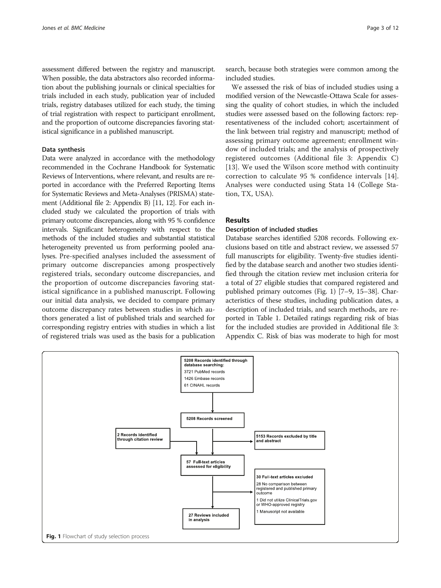assessment differed between the registry and manuscript. When possible, the data abstractors also recorded information about the publishing journals or clinical specialties for trials included in each study, publication year of included trials, registry databases utilized for each study, the timing of trial registration with respect to participant enrollment, and the proportion of outcome discrepancies favoring statistical significance in a published manuscript.

#### Data synthesis

Data were analyzed in accordance with the methodology recommended in the Cochrane Handbook for Systematic Reviews of Interventions, where relevant, and results are reported in accordance with the Preferred Reporting Items for Systematic Reviews and Meta-Analyses (PRISMA) statement (Additional file [2:](#page-10-0) Appendix B) [\[11, 12](#page-11-0)]. For each included study we calculated the proportion of trials with primary outcome discrepancies, along with 95 % confidence intervals. Significant heterogeneity with respect to the methods of the included studies and substantial statistical heterogeneity prevented us from performing pooled analyses. Pre-specified analyses included the assessment of primary outcome discrepancies among prospectively registered trials, secondary outcome discrepancies, and the proportion of outcome discrepancies favoring statistical significance in a published manuscript. Following our initial data analysis, we decided to compare primary outcome discrepancy rates between studies in which authors generated a list of published trials and searched for corresponding registry entries with studies in which a list of registered trials was used as the basis for a publication

search, because both strategies were common among the included studies.

We assessed the risk of bias of included studies using a modified version of the Newcastle-Ottawa Scale for assessing the quality of cohort studies, in which the included studies were assessed based on the following factors: representativeness of the included cohort; ascertainment of the link between trial registry and manuscript; method of assessing primary outcome agreement; enrollment window of included trials; and the analysis of prospectively registered outcomes (Additional file [3](#page-10-0): Appendix C) [[13\]](#page-11-0). We used the Wilson score method with continuity correction to calculate 95 % confidence intervals [\[14](#page-11-0)]. Analyses were conducted using Stata 14 (College Station, TX, USA).

### Results

#### Description of included studies

Database searches identified 5208 records. Following exclusions based on title and abstract review, we assessed 57 full manuscripts for eligibility. Twenty-five studies identified by the database search and another two studies identified through the citation review met inclusion criteria for a total of 27 eligible studies that compared registered and published primary outcomes (Fig. 1) [\[7](#page-11-0)–[9, 15](#page-11-0)–[38\]](#page-11-0). Characteristics of these studies, including publication dates, a description of included trials, and search methods, are reported in Table [1.](#page-3-0) Detailed ratings regarding risk of bias for the included studies are provided in Additional file [3](#page-10-0): Appendix C. Risk of bias was moderate to high for most

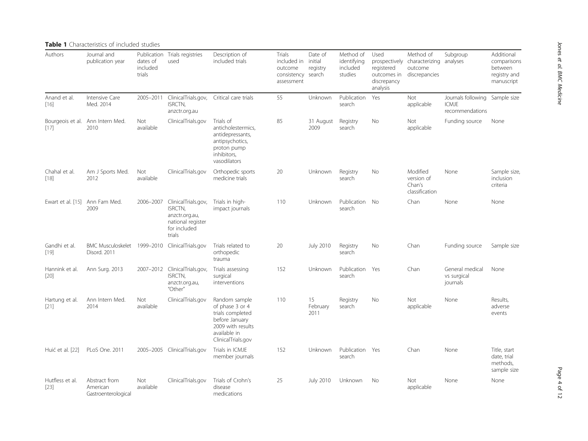| Authors                   | Journal and<br>publication year                  | dates of<br>included<br>trials | Publication Trials registries<br>used                                                                  | Description of<br>included trials                                                                                                 | <b>Trials</b><br>included in<br>outcome<br>consistency<br>assessment | Date of<br>initial<br>registry<br>search | Method of<br>identifying<br>included<br>studies | Used<br>prospectively<br>registered<br>outcomes in<br>discrepancy<br>analysis | Method of<br>characterizing<br>outcome<br>discrepancies | Subgroup<br>analyses                                              | Additional<br>comparisons<br>between<br>registry and<br>manuscript |
|---------------------------|--------------------------------------------------|--------------------------------|--------------------------------------------------------------------------------------------------------|-----------------------------------------------------------------------------------------------------------------------------------|----------------------------------------------------------------------|------------------------------------------|-------------------------------------------------|-------------------------------------------------------------------------------|---------------------------------------------------------|-------------------------------------------------------------------|--------------------------------------------------------------------|
| Anand et al.<br>$[16]$    | Intensive Care<br>Med. 2014                      | 2005-2011                      | ClinicalTrials.gov,<br><b>ISRCTN,</b><br>anzctr.org.au                                                 | Critical care trials                                                                                                              | 55                                                                   | Unknown                                  | Publication<br>search                           | Yes                                                                           | Not<br>applicable                                       | Journals following Sample size<br><b>ICMJE</b><br>recommendations |                                                                    |
| [17]                      | Bourgeois et al. Ann Intern Med.<br>2010         | <b>Not</b><br>available        | ClinicalTrials.gov                                                                                     | Trials of<br>anticholestermics.<br>antidepressants,<br>antipsychotics,<br>proton pump<br>inhibitors,<br>vasodilators              | 85                                                                   | 31 August<br>2009                        | Registry<br>search                              | <b>No</b>                                                                     | Not<br>applicable                                       | Funding source                                                    | None                                                               |
| Chahal et al.<br>$[18]$   | Am J Sports Med.<br>2012                         | Not<br>available               | ClinicalTrials.gov                                                                                     | Orthopedic sports<br>medicine trials                                                                                              | 20                                                                   | Unknown                                  | Registry<br>search                              | <b>No</b>                                                                     | Modified<br>version of<br>Chan's<br>classification      | None                                                              | Sample size,<br>inclusion<br>criteria                              |
| Ewart et al. [15]         | Ann Fam Med.<br>2009                             | 2006-2007                      | ClinicalTrials.gov,<br><b>ISRCTN,</b><br>anzctr.org.au,<br>national register<br>for included<br>trials | Trials in high-<br>impact journals                                                                                                | 110                                                                  | Unknown                                  | Publication<br>search                           | No                                                                            | Chan                                                    | None                                                              | None                                                               |
| Gandhi et al.<br>$[19]$   | <b>BMC Musculoskelet</b><br>Disord. 2011         |                                | 1999-2010 ClinicalTrials.gov                                                                           | Trials related to<br>orthopedic<br>trauma                                                                                         | 20                                                                   | July 2010                                | Registry<br>search                              | <b>No</b>                                                                     | Chan                                                    | Funding source                                                    | Sample size                                                        |
| Hannink et al.<br>$[20]$  | Ann Surg. 2013                                   |                                | 2007-2012 ClinicalTrials.gov,<br>ISRCTN,<br>anzctr.org.au,<br>"Other"                                  | Trials assessing<br>surgical<br>interventions                                                                                     | 152                                                                  | Unknown                                  | Publication<br>search                           | Yes                                                                           | Chan                                                    | General medical<br>vs surgical<br>journals                        | None                                                               |
| Hartung et al.<br>$[21]$  | Ann Intern Med.<br>2014                          | Not<br>available               | ClinicalTrials.gov                                                                                     | Random sample<br>of phase 3 or 4<br>trials completed<br>before January<br>2009 with results<br>available in<br>ClinicalTrials.gov | 110                                                                  | 15<br>February<br>2011                   | Registry<br>search                              | No                                                                            | Not<br>applicable                                       | None                                                              | Results,<br>adverse<br>events                                      |
| Huić et al. [22]          | PLoS One. 2011                                   |                                | 2005-2005 ClinicalTrials.gov                                                                           | Trials in ICMJE<br>member journals                                                                                                | 152                                                                  | Unknown                                  | Publication Yes<br>search                       |                                                                               | Chan                                                    | None                                                              | Title, start<br>date, trial<br>methods,<br>sample size             |
| Hutfless et al.<br>$[23]$ | Abstract from<br>American<br>Gastroenterological | Not<br>available               | ClinicalTrials.gov                                                                                     | Trials of Crohn's<br>disease<br>medications                                                                                       | 25                                                                   | July 2010                                | Unknown                                         | No                                                                            | Not<br>applicable                                       | None                                                              | None                                                               |

## <span id="page-3-0"></span>Table 1 Characteristics of included studies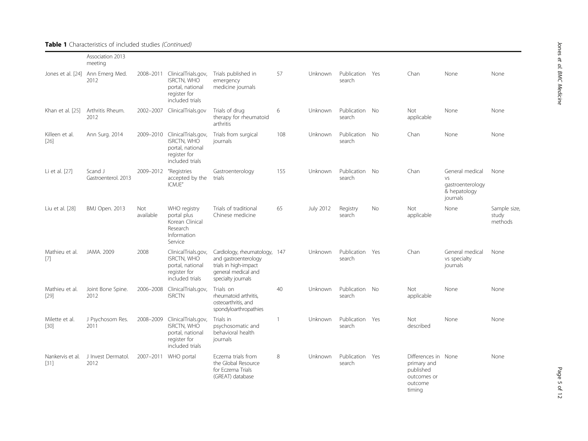## Table 1 Characteristics of included studies (Continued)

|                            | Association 2013<br>meeting    |                  |                                                                                                  |                                                                                                                             |     |                  |                           |      |                                                                                     |                                                                       |                                  |
|----------------------------|--------------------------------|------------------|--------------------------------------------------------------------------------------------------|-----------------------------------------------------------------------------------------------------------------------------|-----|------------------|---------------------------|------|-------------------------------------------------------------------------------------|-----------------------------------------------------------------------|----------------------------------|
| Jones et al. [24]          | Ann Emerg Med.<br>2012         | 2008-2011        | ClinicalTrials.gov,<br>ISRCTN, WHO<br>portal, national<br>register for<br>included trials        | Trials published in<br>emergency<br>medicine journals                                                                       | 57  | Unknown          | Publication Yes<br>search |      | Chan                                                                                | None                                                                  | None                             |
| Khan et al. [25]           | Arthritis Rheum.<br>2012       | 2002-2007        | ClinicalTrials.gov                                                                               | Trials of drug<br>therapy for rheumatoid<br>arthritis                                                                       | 6   | Unknown          | Publication No<br>search  |      | Not<br>applicable                                                                   | None                                                                  | None                             |
| Killeen et al.<br>$[26]$   | Ann Surg. 2014                 | 2009-2010        | ClinicalTrials.gov,<br><b>ISRCTN, WHO</b><br>portal, national<br>register for<br>included trials | Trials from surgical<br>journals                                                                                            | 108 | Unknown          | Publication No<br>search  |      | Chan                                                                                | None                                                                  | None                             |
| Li et al. [27]             | Scand J<br>Gastroenterol. 2013 | 2009-2012        | "Registries<br>accepted by the<br>ICMJE"                                                         | Gastroenterology<br>trials                                                                                                  | 155 | Unknown          | Publication<br>search     | - No | Chan                                                                                | General medical<br>VS<br>gastroenterology<br>& hepatology<br>journals | None                             |
| Liu et al. [28]            | BMJ Open. 2013                 | Not<br>available | WHO registry<br>portal plus<br>Korean Clinical<br>Research<br>Information<br>Service             | Trials of traditional<br>Chinese medicine                                                                                   | 65  | <b>July 2012</b> | Registry<br>search        | No   | Not<br>applicable                                                                   | None                                                                  | Sample size,<br>study<br>methods |
| Mathieu et al.<br>[7]      | JAMA. 2009                     | 2008             | ClinicalTrials.gov,<br><b>ISRCTN, WHO</b><br>portal, national<br>register for<br>included trials | Cardiology, rheumatology, 147<br>and gastroenterology<br>trials in high-impact<br>general medical and<br>specialty journals |     | Unknown          | Publication Yes<br>search |      | Chan                                                                                | General medical<br>vs specialty<br>journals                           | None                             |
| Mathieu et al.<br>$[29]$   | Joint Bone Spine.<br>2012      | 2006-2008        | ClinicalTrials.gov,<br><b>ISRCTN</b>                                                             | Trials on<br>rheumatoid arthritis,<br>osteoarthritis, and<br>spondyloarthropathies                                          | 40  | Unknown          | Publication No<br>search  |      | Not<br>applicable                                                                   | None                                                                  | None                             |
| Milette et al.<br>$[30]$   | J Psychosom Res.<br>2011       | 2008-2009        | ClinicalTrials.gov,<br>ISRCTN, WHO<br>portal, national<br>register for<br>included trials        | Trials in<br>psychosomatic and<br>behavioral health<br>journals                                                             |     | Unknown          | Publication<br>search     | Yes  | Not<br>described                                                                    | None                                                                  | None                             |
| Nankervis et al.<br>$[31]$ | J Invest Dermatol.<br>2012     |                  | 2007-2011 WHO portal                                                                             | Eczema trials from<br>the Global Resource<br>for Eczema Trials<br>(GREAT) database                                          | 8   | Unknown          | Publication Yes<br>search |      | Differences in None<br>primary and<br>published<br>outcomes or<br>outcome<br>timing |                                                                       | None                             |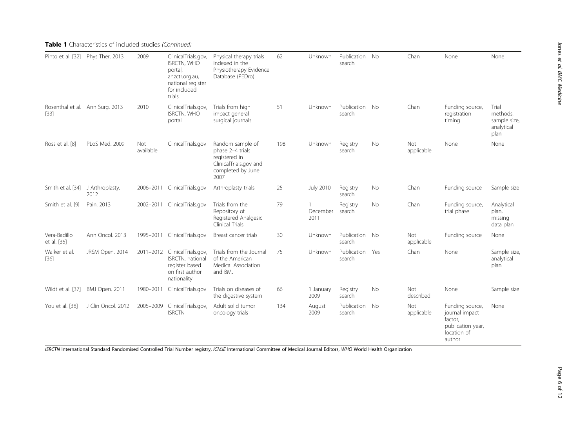## Table 1 Characteristics of included studies (Continued)

| Pinto et al. [32]                 | Phys Ther. 2013                 | 2009             | ClinicalTrials.gov,<br><b>ISRCTN, WHO</b><br>portal,<br>anzctr.org.au,<br>national register<br>for included<br>trials | Physical therapy trials<br>indexed in the<br>Physiotherapy Evidence<br>Database (PEDro)                      | 62  | Unknown           | Publication No<br>search |           | Chan              | None                                                                                       | None                                                    |
|-----------------------------------|---------------------------------|------------------|-----------------------------------------------------------------------------------------------------------------------|--------------------------------------------------------------------------------------------------------------|-----|-------------------|--------------------------|-----------|-------------------|--------------------------------------------------------------------------------------------|---------------------------------------------------------|
| $[33]$                            | Rosenthal et al. Ann Surg. 2013 | 2010             | ClinicalTrials.gov,<br><b>ISRCTN, WHO</b><br>portal                                                                   | Trials from high<br>impact general<br>surgical journals                                                      | 51  | Unknown           | Publication No<br>search |           | Chan              | Funding source,<br>registration<br>timing                                                  | Trial<br>methods,<br>sample size,<br>analytical<br>plan |
| Ross et al. [8]                   | PLoS Med. 2009                  | Not<br>available | ClinicalTrials.gov                                                                                                    | Random sample of<br>phase 2-4 trials<br>registered in<br>ClinicalTrials.gov and<br>completed by June<br>2007 | 198 | Unknown           | Registry<br>search       | <b>No</b> | Not<br>applicable | None                                                                                       | None                                                    |
| Smith et al. [34] J Arthroplasty. | 2012                            |                  | 2006-2011 ClinicalTrials.gov                                                                                          | Arthroplasty trials                                                                                          | 25  | <b>July 2010</b>  | Registry<br>search       | No        | Chan              | Funding source                                                                             | Sample size                                             |
| Smith et al. [9]                  | Pain. 2013                      |                  | 2002-2011 ClinicalTrials.gov                                                                                          | Trials from the<br>Repository of<br>Registered Analgesic<br>Clinical Trials                                  | 79  | December<br>2011  | Registry<br>search       | No        | Chan              | Funding source,<br>trial phase                                                             | Analytical<br>plan,<br>missing<br>data plan             |
| Vera-Badillo<br>et al. [35]       | Ann Oncol. 2013                 | 1995-2011        | ClinicalTrials.gov                                                                                                    | Breast cancer trials                                                                                         | 30  | Unknown           | Publication No<br>search |           | Not<br>applicable | Funding source                                                                             | None                                                    |
| Walker et al.<br>$[36]$           | JRSM Open. 2014                 | 2011-2012        | ClinicalTrials.gov,<br>ISRCTN, national<br>register based<br>on first author<br>nationality                           | Trials from the Journal<br>of the American<br>Medical Association<br>and BMJ                                 | 75  | Unknown           | Publication<br>search    | Yes       | Chan              | None                                                                                       | Sample size,<br>analytical<br>plan                      |
| Wildt et al. [37]                 | BMJ Open. 2011                  | 1980-2011        | ClinicalTrials.gov                                                                                                    | Trials on diseases of<br>the digestive system                                                                | 66  | 1 January<br>2009 | Registry<br>search       | <b>No</b> | Not<br>described  | None                                                                                       | Sample size                                             |
| You et al. [38]                   | J Clin Oncol. 2012              | 2005-2009        | ClinicalTrials.gov,<br><b>ISRCTN</b>                                                                                  | Adult solid tumor<br>oncology trials                                                                         | 134 | August<br>2009    | Publication<br>search    | <b>No</b> | Not<br>applicable | Funding source,<br>journal impact<br>factor,<br>publication year,<br>location of<br>author | None                                                    |

ISRCTN International Standard Randomised Controlled Trial Number registry, ICMJE International Committee of Medical Journal Editors, WHO World Health Organization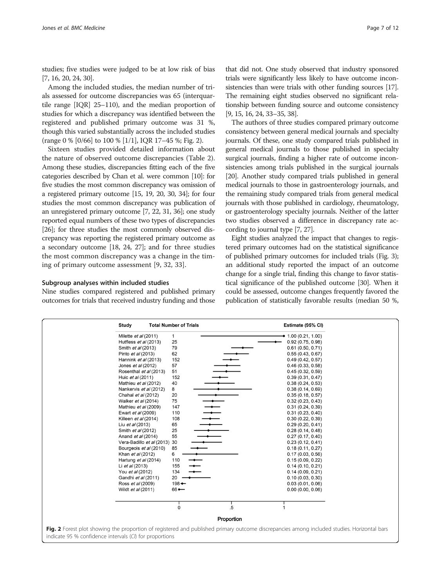studies; five studies were judged to be at low risk of bias [[7, 16, 20](#page-11-0), [24, 30\]](#page-11-0).

Among the included studies, the median number of trials assessed for outcome discrepancies was 65 (interquartile range [IQR] 25–110), and the median proportion of studies for which a discrepancy was identified between the registered and published primary outcome was 31 %, though this varied substantially across the included studies (range 0 % [0/66] to 100 % [1/1], IQR 17–45 %; Fig. 2).

Sixteen studies provided detailed information about the nature of observed outcome discrepancies (Table [2](#page-7-0)). Among these studies, discrepancies fitting each of the five categories described by Chan et al. were common [[10](#page-11-0)]: for five studies the most common discrepancy was omission of a registered primary outcome [\[15, 19, 20, 30, 34\]](#page-11-0); for four studies the most common discrepancy was publication of an unregistered primary outcome [[7](#page-11-0), [22, 31](#page-11-0), [36\]](#page-11-0); one study reported equal numbers of these two types of discrepancies [[26](#page-11-0)]; for three studies the most commonly observed discrepancy was reporting the registered primary outcome as a secondary outcome [[18](#page-11-0), [24, 27\]](#page-11-0); and for three studies the most common discrepancy was a change in the timing of primary outcome assessment [[9, 32](#page-11-0), [33](#page-11-0)].

### Subgroup analyses within included studies

Nine studies compared registered and published primary outcomes for trials that received industry funding and those

that did not. One study observed that industry sponsored trials were significantly less likely to have outcome inconsistencies than were trials with other funding sources [\[17](#page-11-0)]. The remaining eight studies observed no significant relationship between funding source and outcome consistency [[9](#page-11-0), [15](#page-11-0), [16](#page-11-0), [24, 33](#page-11-0)–[35, 38\]](#page-11-0).

The authors of three studies compared primary outcome consistency between general medical journals and specialty journals. Of these, one study compared trials published in general medical journals to those published in specialty surgical journals, finding a higher rate of outcome inconsistencies among trials published in the surgical journals [[20](#page-11-0)]. Another study compared trials published in general medical journals to those in gastroenterology journals, and the remaining study compared trials from general medical journals with those published in cardiology, rheumatology, or gastroenterology specialty journals. Neither of the latter two studies observed a difference in discrepancy rate according to journal type [[7, 27\]](#page-11-0).

Eight studies analyzed the impact that changes to registered primary outcomes had on the statistical significance of published primary outcomes for included trials (Fig. [3](#page-7-0)); an additional study reported the impact of an outcome change for a single trial, finding this change to favor statistical significance of the published outcome [\[30\]](#page-11-0). When it could be assessed, outcome changes frequently favored the publication of statistically favorable results (median 50 %,

| Study                                                   | <b>Total Number of Trials</b> | Estimate (95% CI)                                                                                                                           |
|---------------------------------------------------------|-------------------------------|---------------------------------------------------------------------------------------------------------------------------------------------|
| Milette et al (2011)                                    | 1                             | $\bullet$ 1.00 (0.21, 1.00)                                                                                                                 |
| Hutfless et al (2013)                                   | 25                            | 0.92(0.75, 0.98)                                                                                                                            |
| Smith et al (2013)                                      | 79                            | 0.61(0.50, 0.71)                                                                                                                            |
| Pinto et al (2013)                                      | 62                            | 0.55(0.43, 0.67)                                                                                                                            |
| Hannink et al (2013)                                    | 152                           | 0.49(0.42, 0.57)                                                                                                                            |
| Jones et al (2012)                                      | 57                            | 0.46(0.33, 0.58)                                                                                                                            |
| Rosenthal et al (2013)                                  | 51                            | 0.45(0.32, 0.59)                                                                                                                            |
| Huic et al (2011)                                       | 152                           | 0.39(0.31, 0.47)                                                                                                                            |
| Mathieu et al (2012)                                    | 40                            | 0.38(0.24, 0.53)                                                                                                                            |
| Nankervis et al (2012)                                  | 8                             | 0.38(0.14, 0.69)                                                                                                                            |
| Chahal et al (2012)                                     | 20                            | 0.35(0.18, 0.57)                                                                                                                            |
| Walker et al (2014)                                     | 75                            | 0.32(0.23, 0.43)                                                                                                                            |
| Mathieu et al (2009)                                    | 147                           | 0.31(0.24, 0.39)                                                                                                                            |
| Ewart et al (2009)                                      | 110                           | 0.31(0.23, 0.40)                                                                                                                            |
| Killeen et al (2014)                                    | 108                           | 0.30(0.22, 0.39)                                                                                                                            |
| Liu <i>et al</i> (2013)                                 | 65                            | 0.29(0.20, 0.41)                                                                                                                            |
| Smith et al (2012)                                      | 25                            | 0.28(0.14, 0.48)                                                                                                                            |
| Anand et al (2014)                                      | 55                            | 0.27(0.17, 0.40)                                                                                                                            |
| Vera-Badillo et al (2013) 30                            |                               | 0.23(0.12, 0.41)                                                                                                                            |
| Bourgeois et al (2010)                                  | 85                            | 0.18(0.11, 0.27)                                                                                                                            |
| Khan et al (2012)                                       | 6                             | 0.17(0.03, 0.56)                                                                                                                            |
| Hartung et al (2014)                                    | 110                           | 0.15(0.09, 0.22)                                                                                                                            |
| Li et al (2013)                                         | 155                           | 0.14(0.10, 0.21)                                                                                                                            |
| You et al (2012)                                        | 134                           | 0.14(0.09, 0.21)                                                                                                                            |
| Gandhi et al (2011)                                     | 20                            | 0.10(0.03, 0.30)                                                                                                                            |
| Ross et al (2009)                                       | $198 \rightarrow$             | 0.03(0.01, 0.06)                                                                                                                            |
| Wildt et al (2011)                                      | $66 \leftarrow$               | 0.00(0.00, 0.06)                                                                                                                            |
|                                                         |                               |                                                                                                                                             |
|                                                         |                               |                                                                                                                                             |
|                                                         | 0                             | .5                                                                                                                                          |
|                                                         |                               | Proportion                                                                                                                                  |
| indicate 95 % confidence intervals (CI) for proportions |                               | Fig. 2 Forest plot showing the proportion of registered and published primary outcome discrepancies among included studies. Horizontal bars |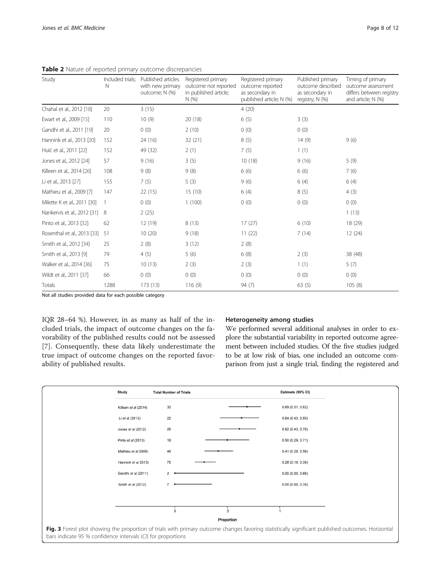| Study                       | Included trials;<br>Ν | Published articles<br>with new primary<br>outcome; N (%) | Registered primary<br>outcome not reported<br>in published article;<br>N(%) | Registered primary<br>outcome reported<br>as secondary in<br>published article; N (%) | Published primary<br>outcome described<br>as secondary in<br>registry; N (%) | Timing of primary<br>outcome assessment<br>differs between registry<br>and article; N (%) |
|-----------------------------|-----------------------|----------------------------------------------------------|-----------------------------------------------------------------------------|---------------------------------------------------------------------------------------|------------------------------------------------------------------------------|-------------------------------------------------------------------------------------------|
| Chahal et al., 2012 [18]    | 20                    | 3(15)                                                    |                                                                             | 4(20)                                                                                 |                                                                              |                                                                                           |
| Ewart et al., 2009 [15]     | 110                   | 10(9)                                                    | 20 (18)                                                                     | 6(5)                                                                                  | 3(3)                                                                         |                                                                                           |
| Gandhi et al., 2011 [19]    | 20                    | 0(0)                                                     | 2(10)                                                                       | 0(0)                                                                                  | 0(0)                                                                         |                                                                                           |
| Hannink et al., 2013 [20]   | 152                   | 24 (16)                                                  | 32(21)                                                                      | 8(5)                                                                                  | 14(9)                                                                        | 9(6)                                                                                      |
| Huić et al., 2011 [22]      | 152                   | 49 (32)                                                  | 2(1)                                                                        | 7(5)                                                                                  | 1(1)                                                                         |                                                                                           |
| Jones et al., 2012 [24]     | 57                    | 9(16)                                                    | 3(5)                                                                        | 10(18)                                                                                | 9(16)                                                                        | 5(9)                                                                                      |
| Killeen et al., 2014 [26]   | 108                   | 9(8)                                                     | 9(8)                                                                        | 6(6)                                                                                  | 6(6)                                                                         | 7(6)                                                                                      |
| Li et al., 2013 [27]        | 155                   | 7(5)                                                     | 5(3)                                                                        | 9(6)                                                                                  | 6(4)                                                                         | 6(4)                                                                                      |
| Mathieu et al., 2009 [7]    | 147                   | 22(15)                                                   | 15(10)                                                                      | 6(4)                                                                                  | 8(5)                                                                         | 4(3)                                                                                      |
| Milette K et al., 2011 [30] |                       | 0(0)                                                     | 1(100)                                                                      | 0(0)                                                                                  | 0(0)                                                                         | 0(0)                                                                                      |
| Nankervis et al., 2012 [31] | 8                     | 2(25)                                                    |                                                                             |                                                                                       |                                                                              | 1(13)                                                                                     |
| Pinto et al., 2013 [32]     | 62                    | 12 (19)                                                  | 8(13)                                                                       | 17(27)                                                                                | 6(10)                                                                        | 18 (29)                                                                                   |
| Rosenthal et al., 2013 [33] | 51                    | 10(20)                                                   | 9(18)                                                                       | 11(22)                                                                                | 7(14)                                                                        | 12(24)                                                                                    |
| Smith et al., 2012 [34]     | 25                    | 2(8)                                                     | 3(12)                                                                       | 2(8)                                                                                  |                                                                              |                                                                                           |
| Smith et al., 2013 [9]      | 79                    | 4(5)                                                     | 5(6)                                                                        | 6(8)                                                                                  | 2(3)                                                                         | 38 (48)                                                                                   |
| Walker et al., 2014 [36]    | 75                    | 10(13)                                                   | 2(3)                                                                        | 2(3)                                                                                  | 1(1)                                                                         | 5(7)                                                                                      |
| Wildt et al., 2011 [37]     | 66                    | 0(0)                                                     | 0(0)                                                                        | 0(0)                                                                                  | 0(0)                                                                         | 0(0)                                                                                      |
| Totals                      | 1288                  | 173(13)                                                  | 116(9)                                                                      | 94 (7)                                                                                | 63(5)                                                                        | 105(8)                                                                                    |

## <span id="page-7-0"></span>Table 2 Nature of reported primary outcome discrepancies

Not all studies provided data for each possible category

IQR 28–64 %). However, in as many as half of the included trials, the impact of outcome changes on the favorability of the published results could not be assessed [[7\]](#page-11-0). Consequently, these data likely underestimate the true impact of outcome changes on the reported favorability of published results.

#### Heterogeneity among studies

We performed several additional analyses in order to explore the substantial variability in reported outcome agreement between included studies. Of the five studies judged to be at low risk of bias, one included an outcome comparison from just a single trial, finding the registered and

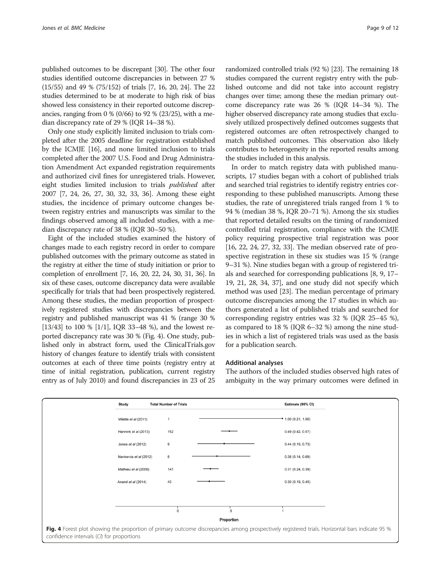published outcomes to be discrepant [\[30\]](#page-11-0). The other four studies identified outcome discrepancies in between 27 % (15/55) and 49 % (75/152) of trials [\[7](#page-11-0), [16](#page-11-0), [20](#page-11-0), [24](#page-11-0)]. The 22 studies determined to be at moderate to high risk of bias showed less consistency in their reported outcome discrepancies, ranging from 0 % (0/66) to 92 % (23/25), with a median discrepancy rate of 29 % (IQR 14–38 %).

Only one study explicitly limited inclusion to trials completed after the 2005 deadline for registration established by the ICMJE [\[16\]](#page-11-0), and none limited inclusion to trials completed after the 2007 U.S. Food and Drug Administration Amendment Act expanded registration requirements and authorized civil fines for unregistered trials. However, eight studies limited inclusion to trials published after 2007 [[7](#page-11-0), [24, 26, 27, 30](#page-11-0), [32](#page-11-0), [33](#page-11-0), [36\]](#page-11-0). Among these eight studies, the incidence of primary outcome changes between registry entries and manuscripts was similar to the findings observed among all included studies, with a median discrepancy rate of 38 % (IQR 30–50 %).

Eight of the included studies examined the history of changes made to each registry record in order to compare published outcomes with the primary outcome as stated in the registry at either the time of study initiation or prior to completion of enrollment [\[7, 16, 20, 22](#page-11-0), [24](#page-11-0), [30](#page-11-0), [31, 36\]](#page-11-0). In six of these cases, outcome discrepancy data were available specifically for trials that had been prospectively registered. Among these studies, the median proportion of prospectively registered studies with discrepancies between the registry and published manuscript was 41 % (range 30 % [13/43] to 100 % [1/1], IQR 33–48 %), and the lowest reported discrepancy rate was 30 % (Fig. 4). One study, published only in abstract form, used the ClinicalTrials.gov history of changes feature to identify trials with consistent outcomes at each of three time points (registry entry at time of initial registration, publication, current registry entry as of July 2010) and found discrepancies in 23 of 25

randomized controlled trials (92 %) [\[23\]](#page-11-0). The remaining 18 studies compared the current registry entry with the published outcome and did not take into account registry changes over time; among these the median primary outcome discrepancy rate was 26 % (IQR 14–34 %). The higher observed discrepancy rate among studies that exclusively utilized prospectively defined outcomes suggests that registered outcomes are often retrospectively changed to match published outcomes. This observation also likely contributes to heterogeneity in the reported results among the studies included in this analysis.

In order to match registry data with published manuscripts, 17 studies began with a cohort of published trials and searched trial registries to identify registry entries corresponding to these published manuscripts. Among these studies, the rate of unregistered trials ranged from 1 % to 94 % (median 38 %, IQR 20–71 %). Among the six studies that reported detailed results on the timing of randomized controlled trial registration, compliance with the ICMJE policy requiring prospective trial registration was poor [[16](#page-11-0), [22](#page-11-0), [24](#page-11-0), [27](#page-11-0), [32](#page-11-0), [33](#page-11-0)]. The median observed rate of prospective registration in these six studies was 15 % (range 9–31 %). Nine studies began with a group of registered trials and searched for corresponding publications [\[8](#page-11-0), [9](#page-11-0), [17](#page-11-0)– [19](#page-11-0), [21](#page-11-0), [28, 34](#page-11-0), [37](#page-11-0)], and one study did not specify which method was used [[23](#page-11-0)]. The median percentage of primary outcome discrepancies among the 17 studies in which authors generated a list of published trials and searched for corresponding registry entries was 32 % (IQR 25–45 %), as compared to 18 % (IQR 6–32 %) among the nine studies in which a list of registered trials was used as the basis for a publication search.

#### Additional analyses

The authors of the included studies observed high rates of ambiguity in the way primary outcomes were defined in

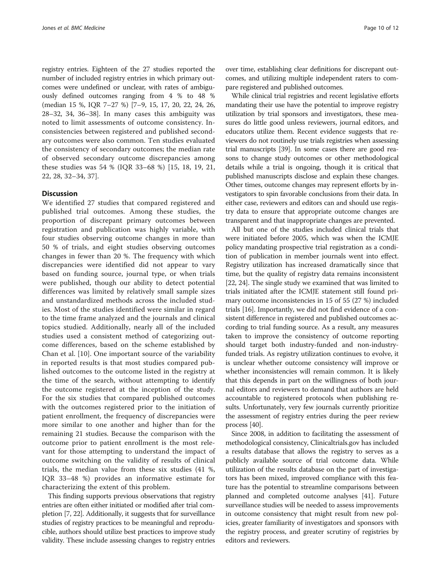registry entries. Eighteen of the 27 studies reported the number of included registry entries in which primary outcomes were undefined or unclear, with rates of ambiguously defined outcomes ranging from 4 % to 48 % (median 15 %, IQR 7–27 %) [\[7](#page-11-0)–[9, 15](#page-11-0), [17, 20](#page-11-0), [22](#page-11-0), [24, 26](#page-11-0), [28](#page-11-0)–[32, 34](#page-11-0), [36](#page-11-0)–[38](#page-11-0)]. In many cases this ambiguity was noted to limit assessments of outcome consistency. Inconsistencies between registered and published secondary outcomes were also common. Ten studies evaluated the consistency of secondary outcomes; the median rate of observed secondary outcome discrepancies among these studies was 54 % (IQR 33–68 %) [\[15](#page-11-0), [18](#page-11-0), [19](#page-11-0), [21](#page-11-0), [22, 28, 32](#page-11-0)–[34](#page-11-0), [37](#page-11-0)].

#### **Discussion**

We identified 27 studies that compared registered and published trial outcomes. Among these studies, the proportion of discrepant primary outcomes between registration and publication was highly variable, with four studies observing outcome changes in more than 50 % of trials, and eight studies observing outcomes changes in fewer than 20 %. The frequency with which discrepancies were identified did not appear to vary based on funding source, journal type, or when trials were published, though our ability to detect potential differences was limited by relatively small sample sizes and unstandardized methods across the included studies. Most of the studies identified were similar in regard to the time frame analyzed and the journals and clinical topics studied. Additionally, nearly all of the included studies used a consistent method of categorizing outcome differences, based on the scheme established by Chan et al. [\[10](#page-11-0)]. One important source of the variability in reported results is that most studies compared published outcomes to the outcome listed in the registry at the time of the search, without attempting to identify the outcome registered at the inception of the study. For the six studies that compared published outcomes with the outcomes registered prior to the initiation of patient enrollment, the frequency of discrepancies were more similar to one another and higher than for the remaining 21 studies. Because the comparison with the outcome prior to patient enrollment is the most relevant for those attempting to understand the impact of outcome switching on the validity of results of clinical trials, the median value from these six studies (41 %, IQR 33–48 %) provides an informative estimate for characterizing the extent of this problem.

This finding supports previous observations that registry entries are often either initiated or modified after trial completion [[7](#page-11-0), [22\]](#page-11-0). Additionally, it suggests that for surveillance studies of registry practices to be meaningful and reproducible, authors should utilize best practices to improve study validity. These include assessing changes to registry entries over time, establishing clear definitions for discrepant outcomes, and utilizing multiple independent raters to compare registered and published outcomes.

While clinical trial registries and recent legislative efforts mandating their use have the potential to improve registry utilization by trial sponsors and investigators, these measures do little good unless reviewers, journal editors, and educators utilize them. Recent evidence suggests that reviewers do not routinely use trials registries when assessing trial manuscripts [[39](#page-11-0)]. In some cases there are good reasons to change study outcomes or other methodological details while a trial is ongoing, though it is critical that published manuscripts disclose and explain these changes. Other times, outcome changes may represent efforts by investigators to spin favorable conclusions from their data. In either case, reviewers and editors can and should use registry data to ensure that appropriate outcome changes are transparent and that inappropriate changes are prevented.

All but one of the studies included clinical trials that were initiated before 2005, which was when the ICMJE policy mandating prospective trial registration as a condition of publication in member journals went into effect. Registry utilization has increased dramatically since that time, but the quality of registry data remains inconsistent [[22](#page-11-0), [24\]](#page-11-0). The single study we examined that was limited to trials initiated after the ICMJE statement still found primary outcome inconsistencies in 15 of 55 (27 %) included trials [\[16\]](#page-11-0). Importantly, we did not find evidence of a consistent difference in registered and published outcomes according to trial funding source. As a result, any measures taken to improve the consistency of outcome reporting should target both industry-funded and non-industryfunded trials. As registry utilization continues to evolve, it is unclear whether outcome consistency will improve or whether inconsistencies will remain common. It is likely that this depends in part on the willingness of both journal editors and reviewers to demand that authors are held accountable to registered protocols when publishing results. Unfortunately, very few journals currently prioritize the assessment of registry entries during the peer review process [\[40\]](#page-11-0).

Since 2008, in addition to facilitating the assessment of methodological consistency, Clinicaltrials.gov has included a results database that allows the registry to serves as a publicly available source of trial outcome data. While utilization of the results database on the part of investigators has been mixed, improved compliance with this feature has the potential to streamline comparisons between planned and completed outcome analyses [[41](#page-11-0)]. Future surveillance studies will be needed to assess improvements in outcome consistency that might result from new policies, greater familiarity of investigators and sponsors with the registry process, and greater scrutiny of registries by editors and reviewers.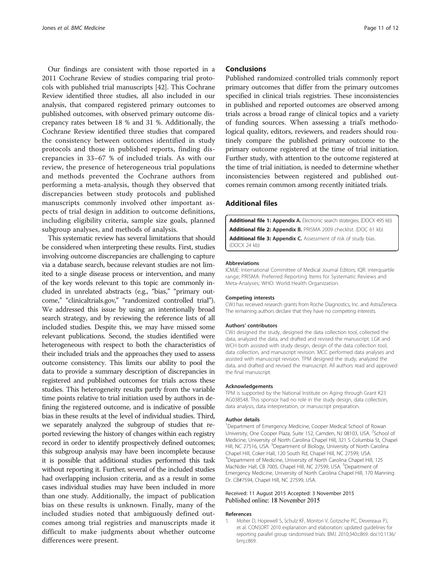<span id="page-10-0"></span>Our findings are consistent with those reported in a 2011 Cochrane Review of studies comparing trial protocols with published trial manuscripts [[42](#page-11-0)]. This Cochrane Review identified three studies, all also included in our analysis, that compared registered primary outcomes to published outcomes, with observed primary outcome discrepancy rates between 18 % and 31 %. Additionally, the Cochrane Review identified three studies that compared the consistency between outcomes identified in study protocols and those in published reports, finding discrepancies in 33–67 % of included trials. As with our review, the presence of heterogeneous trial populations and methods prevented the Cochrane authors from performing a meta-analysis, though they observed that discrepancies between study protocols and published manuscripts commonly involved other important aspects of trial design in addition to outcome definitions, including eligibility criteria, sample size goals, planned subgroup analyses, and methods of analysis.

This systematic review has several limitations that should be considered when interpreting these results. First, studies involving outcome discrepancies are challenging to capture via a database search, because relevant studies are not limited to a single disease process or intervention, and many of the key words relevant to this topic are commonly included in unrelated abstracts (e.g., "bias," "primary outcome," "clinicaltrials.gov," "randomized controlled trial"). We addressed this issue by using an intentionally broad search strategy, and by reviewing the reference lists of all included studies. Despite this, we may have missed some relevant publications. Second, the studies identified were heterogeneous with respect to both the characteristics of their included trials and the approaches they used to assess outcome consistency. This limits our ability to pool the data to provide a summary description of discrepancies in registered and published outcomes for trials across these studies. This heterogeneity results partly from the variable time points relative to trial initiation used by authors in defining the registered outcome, and is indicative of possible bias in these results at the level of individual studies. Third, we separately analyzed the subgroup of studies that reported reviewing the history of changes within each registry record in order to identify prospectively defined outcomes; this subgroup analysis may have been incomplete because it is possible that additional studies performed this task without reporting it. Further, several of the included studies had overlapping inclusion criteria, and as a result in some cases individual studies may have been included in more than one study. Additionally, the impact of publication bias on these results is unknown. Finally, many of the included studies noted that ambiguously defined outcomes among trial registries and manuscripts made it difficult to make judgments about whether outcome differences were present.

#### Conclusions

Published randomized controlled trials commonly report primary outcomes that differ from the primary outcomes specified in clinical trials registries. These inconsistencies in published and reported outcomes are observed among trials across a broad range of clinical topics and a variety of funding sources. When assessing a trial's methodological quality, editors, reviewers, and readers should routinely compare the published primary outcome to the primary outcome registered at the time of trial initiation. Further study, with attention to the outcome registered at the time of trial initiation, is needed to determine whether inconsistencies between registered and published outcomes remain common among recently initiated trials.

#### Additional files

[Additional file 1:](dx.doi.org/10.1186/s12916-015-0520-3) Appendix A. Electronic search strategies. (DOCX 495 kb) [Additional file 2:](dx.doi.org/10.1186/s12916-015-0520-3) Appendix B. PRISMA 2009 checklist. (DOC 61 kb) [Additional file 3:](dx.doi.org/10.1186/s12916-015-0520-3) Appendix C. Assessment of risk of study bias. (DOCX 24 kb)

#### Abbreviations

ICMJE: International Committee of Medical Journal Editors; IQR: interquartile range; PRISMA: Preferred Reporting Items for Systematic Reviews and Meta-Analyses; WHO: World Health Organization.

#### Competing interests

CWJ has received research grants from Roche Diagnostics, Inc. and AstraZeneca. The remaining authors declare that they have no competing interests.

#### Authors' contributors

CWJ designed the study, designed the data collection tool, collected the data, analyzed the data, and drafted and revised the manuscript. LGK and WCH both assisted with study design, design of the data collection tool, data collection, and manuscript revision. MCC performed data analyses and assisted with manuscript revision. TPM designed the study, analyzed the data, and drafted and revised the manuscript. All authors read and approved the final manuscript.

#### Acknowledgements

TPM is supported by the National Institute on Aging through Grant K23 AG038548. This sponsor had no role in the study design, data collection, data analysis, data interpretation, or manuscript preparation.

#### Author details

<sup>1</sup>Department of Emergency Medicine, Cooper Medical School of Rowan University, One Cooper Plaza, Suite 152, Camden, NJ 08103, USA. <sup>2</sup>School of Medicine, University of North Carolina Chapel Hill, 321 S Columbia St, Chapel Hill, NC 27516, USA. <sup>3</sup>Department of Biology, University of North Carolina Chapel Hill, Coker Hall, 120 South Rd, Chapel Hill, NC 27599, USA. 4 Department of Medicine, University of North Carolina Chapel Hill, 125 MacNider Hall, CB 7005, Chapel Hill, NC 27599, USA. <sup>5</sup>Department of Emergency Medicine, University of North Carolina Chapel Hill, 170 Manning Dr. CB#7594, Chapel Hill, NC 27599, USA.

#### Received: 11 August 2015 Accepted: 3 November 2015 Published online: 18 November 2015

#### References

1. Moher D, Hopewell S, Schulz KF, Montori V, Gotzsche PC, Devereaux PJ, et al. CONSORT 2010 explanation and elaboration: updated guidelines for reporting parallel group randomised trials. BMJ. 2010;340:c869. doi[:10.1136/](http://dx.doi.org/10.1136/bmj.c869) [bmj.c869](http://dx.doi.org/10.1136/bmj.c869).